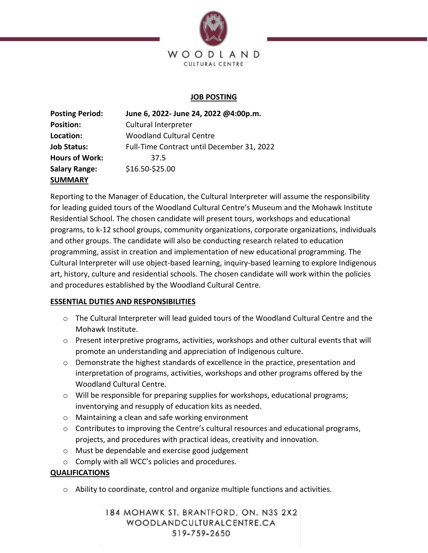

## **JOB POSTING**

| <b>Posting Period:</b> | June 6, 2022- June 24, 2022 @4:00p.m.      |
|------------------------|--------------------------------------------|
| <b>Position:</b>       | Cultural Interpreter                       |
| Location:              | <b>Woodland Cultural Centre</b>            |
| <b>Job Status:</b>     | Full-Time Contract until December 31, 2022 |
| <b>Hours of Work:</b>  | 37.5                                       |
| <b>Salary Range:</b>   | \$16.50-\$25.00                            |
| <b>SUMMARY</b>         |                                            |

Reporting to the Manager of Education, the Cultural Interpreter will assume the responsibility for leading guided tours of the Woodland Cultural Centre's Museum and the Mohawk Institute Residential School. The chosen candidate will present tours, workshops and educational programs, to k-12 school groups, community organizations, corporate organizations, individuals and other groups. The candidate will also be conducting research related to education programming, assist in creation and implementation of new educational programming. The Cultural Interpreter will use object-based learning, inquiry-based learning to explore Indigenous art, history, culture and residential schools. The chosen candidate will work within the policies and procedures established by the Woodland Cultural Centre.

## **ESSENTIAL DUTIES AND RESPONSIBILITIES**

- o The Cultural Interpreter will lead guided tours of the Woodland Cultural Centre and the Mohawk Institute.
- $\circ$  Present interpretive programs, activities, workshops and other cultural events that will promote an understanding and appreciation of Indigenous culture.
- $\circ$  Demonstrate the highest standards of excellence in the practice, presentation and interpretation of programs, activities, workshops and other programs offered by the Woodland Cultural Centre.
- o Will be responsible for preparing supplies for workshops, educational programs; inventorying and resupply of education kits as needed.
- o Maintaining a clean and safe working environment
- $\circ$  Contributes to improving the Centre's cultural resources and educational programs, projects, and procedures with practical ideas, creativity and innovation.
- o Must be dependable and exercise good judgement
- o Comply with all WCC's policies and procedures.

## **QUALIFICATIONS**

 $\circ$  Ability to coordinate, control and organize multiple functions and activities.

184 MOHAWK ST. BRANTFORD, ON. N3S 2X2 WOODLANDCULTURALCENTRE.CA 519-759-2650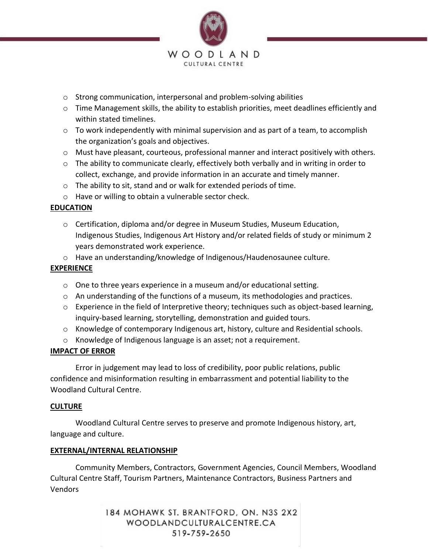

- o Strong communication, interpersonal and problem-solving abilities
- $\circ$  Time Management skills, the ability to establish priorities, meet deadlines efficiently and within stated timelines.
- o To work independently with minimal supervision and as part of a team, to accomplish the organization's goals and objectives.
- $\circ$  Must have pleasant, courteous, professional manner and interact positively with others.
- $\circ$  The ability to communicate clearly, effectively both verbally and in writing in order to collect, exchange, and provide information in an accurate and timely manner.
- o The ability to sit, stand and or walk for extended periods of time.
- o Have or willing to obtain a vulnerable sector check.

# **EDUCATION**

- $\circ$  Certification, diploma and/or degree in Museum Studies, Museum Education, Indigenous Studies, Indigenous Art History and/or related fields of study or minimum 2 years demonstrated work experience.
- o Have an understanding/knowledge of Indigenous/Haudenosaunee culture.

## **EXPERIENCE**

- o One to three years experience in a museum and/or educational setting.
- $\circ$  An understanding of the functions of a museum, its methodologies and practices.
- o Experience in the field of Interpretive theory; techniques such as object-based learning, inquiry-based learning, storytelling, demonstration and guided tours.
- o Knowledge of contemporary Indigenous art, history, culture and Residential schools.
- o Knowledge of Indigenous language is an asset; not a requirement.

## **IMPACT OF ERROR**

Error in judgement may lead to loss of credibility, poor public relations, public confidence and misinformation resulting in embarrassment and potential liability to the Woodland Cultural Centre.

## **CULTURE**

Woodland Cultural Centre serves to preserve and promote Indigenous history, art, language and culture.

## **EXTERNAL/INTERNAL RELATIONSHIP**

Community Members, Contractors, Government Agencies, Council Members, Woodland Cultural Centre Staff, Tourism Partners, Maintenance Contractors, Business Partners and Vendors

> 184 MOHAWK ST. BRANTFORD, ON. N3S 2X2 WOODLANDCULTURALCENTRE.CA 519-759-2650